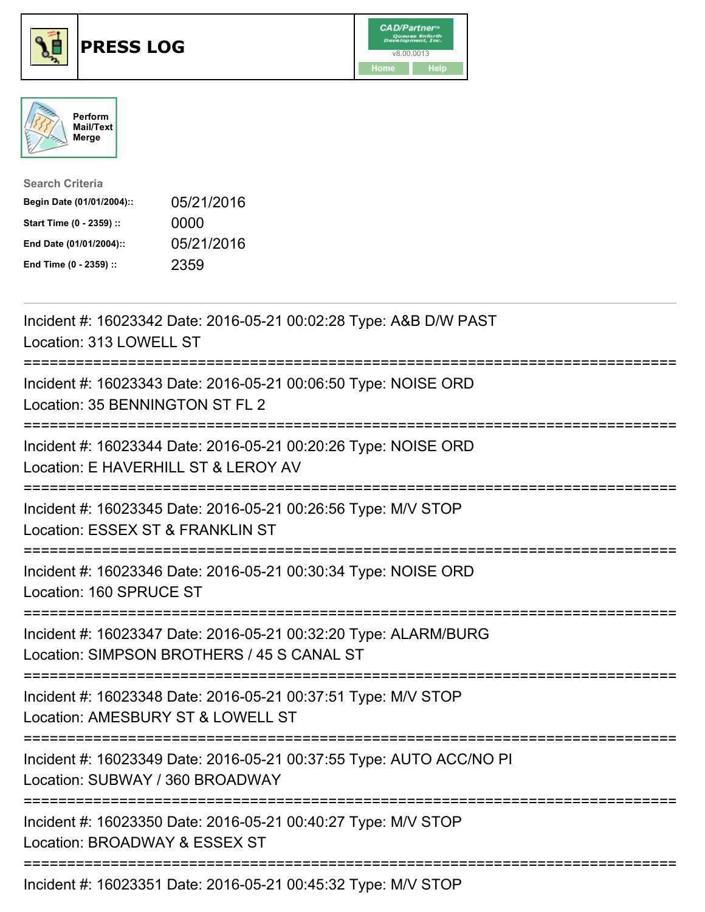

## **PRESS LOG** v8.00.0013





| <b>Search Criteria</b>    |            |
|---------------------------|------------|
| Begin Date (01/01/2004):: | 05/21/2016 |
| Start Time (0 - 2359) ::  | 0000       |
| End Date (01/01/2004)::   | 05/21/2016 |
| End Time (0 - 2359) ::    | 2359       |

Incident #: 16023342 Date: 2016-05-21 00:02:28 Type: A&B D/W PAST Location: 313 LOWELL ST =========================================================================== Incident #: 16023343 Date: 2016-05-21 00:06:50 Type: NOISE ORD Location: 35 BENNINGTON ST FL 2 =========================================================================== Incident #: 16023344 Date: 2016-05-21 00:20:26 Type: NOISE ORD Location: E HAVERHILL ST & LEROY AV =========================================================================== Incident #: 16023345 Date: 2016-05-21 00:26:56 Type: M/V STOP Location: ESSEX ST & FRANKLIN ST =========================================================================== Incident #: 16023346 Date: 2016-05-21 00:30:34 Type: NOISE ORD Location: 160 SPRUCE ST =========================================================================== Incident #: 16023347 Date: 2016-05-21 00:32:20 Type: ALARM/BURG Location: SIMPSON BROTHERS / 45 S CANAL ST =========================================================================== Incident #: 16023348 Date: 2016-05-21 00:37:51 Type: M/V STOP Location: AMESBURY ST & LOWELL ST =========================================================================== Incident #: 16023349 Date: 2016-05-21 00:37:55 Type: AUTO ACC/NO PI Location: SUBWAY / 360 BROADWAY =========================================================================== Incident #: 16023350 Date: 2016-05-21 00:40:27 Type: M/V STOP Location: BROADWAY & ESSEX ST =========================================================================== Incident #: 16023351 Date: 2016-05-21 00:45:32 Type: M/V STOP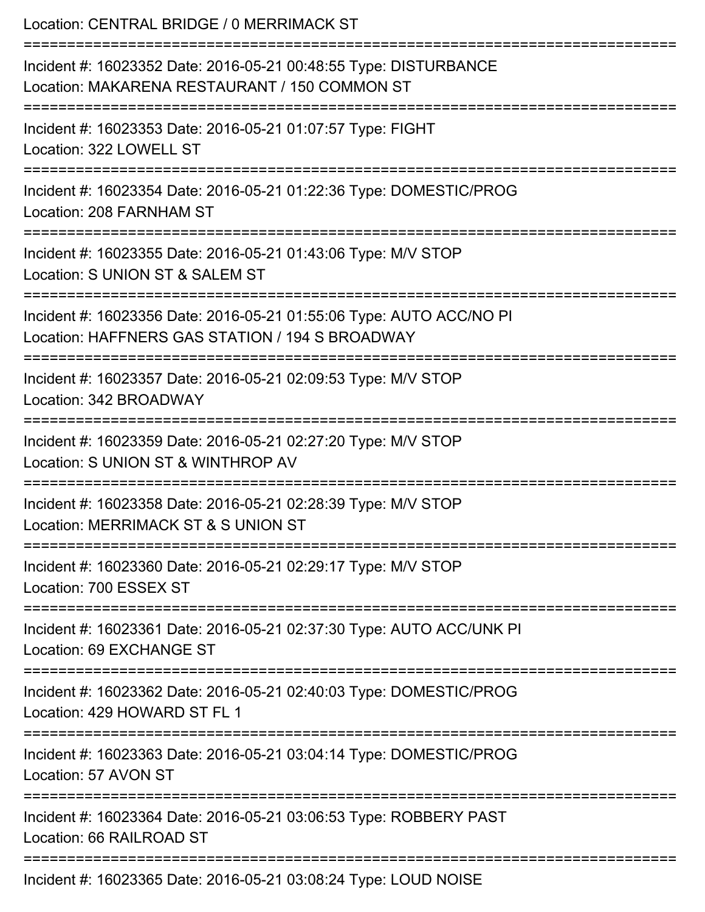| Location: CENTRAL BRIDGE / 0 MERRIMACK ST                                                                                                          |
|----------------------------------------------------------------------------------------------------------------------------------------------------|
| Incident #: 16023352 Date: 2016-05-21 00:48:55 Type: DISTURBANCE<br>Location: MAKARENA RESTAURANT / 150 COMMON ST<br>:============================ |
| Incident #: 16023353 Date: 2016-05-21 01:07:57 Type: FIGHT<br>Location: 322 LOWELL ST                                                              |
| Incident #: 16023354 Date: 2016-05-21 01:22:36 Type: DOMESTIC/PROG<br>Location: 208 FARNHAM ST                                                     |
| Incident #: 16023355 Date: 2016-05-21 01:43:06 Type: M/V STOP<br>Location: S UNION ST & SALEM ST                                                   |
| Incident #: 16023356 Date: 2016-05-21 01:55:06 Type: AUTO ACC/NO PI<br>Location: HAFFNERS GAS STATION / 194 S BROADWAY                             |
| Incident #: 16023357 Date: 2016-05-21 02:09:53 Type: M/V STOP<br>Location: 342 BROADWAY                                                            |
| Incident #: 16023359 Date: 2016-05-21 02:27:20 Type: M/V STOP<br>Location: S UNION ST & WINTHROP AV                                                |
| Incident #: 16023358 Date: 2016-05-21 02:28:39 Type: M/V STOP<br>Location: MERRIMACK ST & S UNION ST                                               |
| Incident #: 16023360 Date: 2016-05-21 02:29:17 Type: M/V STOP<br>Location: 700 ESSEX ST                                                            |
| Incident #: 16023361 Date: 2016-05-21 02:37:30 Type: AUTO ACC/UNK PI<br>Location: 69 EXCHANGE ST                                                   |
| Incident #: 16023362 Date: 2016-05-21 02:40:03 Type: DOMESTIC/PROG<br>Location: 429 HOWARD ST FL 1                                                 |
| Incident #: 16023363 Date: 2016-05-21 03:04:14 Type: DOMESTIC/PROG<br>Location: 57 AVON ST                                                         |
| Incident #: 16023364 Date: 2016-05-21 03:06:53 Type: ROBBERY PAST<br>Location: 66 RAILROAD ST                                                      |
| ================<br>Incident #: 16023365 Date: 2016-05-21 03:08:24 Type: LOUD NOISE                                                                |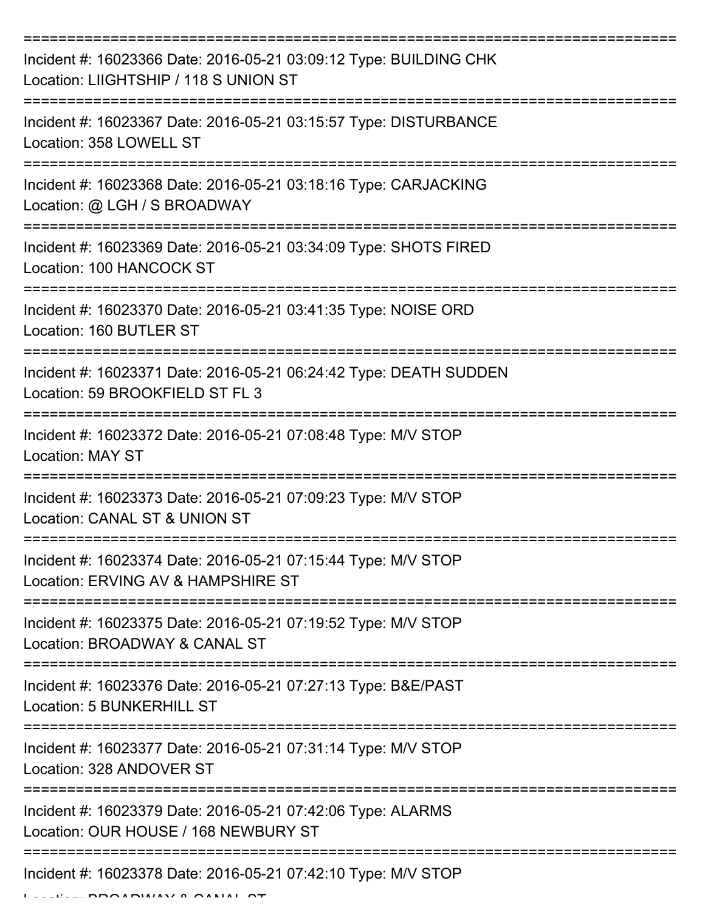| Incident #: 16023366 Date: 2016-05-21 03:09:12 Type: BUILDING CHK<br>Location: LIIGHTSHIP / 118 S UNION ST                                 |
|--------------------------------------------------------------------------------------------------------------------------------------------|
| Incident #: 16023367 Date: 2016-05-21 03:15:57 Type: DISTURBANCE<br>Location: 358 LOWELL ST                                                |
| Incident #: 16023368 Date: 2016-05-21 03:18:16 Type: CARJACKING<br>Location: @ LGH / S BROADWAY                                            |
| Incident #: 16023369 Date: 2016-05-21 03:34:09 Type: SHOTS FIRED<br>Location: 100 HANCOCK ST                                               |
| Incident #: 16023370 Date: 2016-05-21 03:41:35 Type: NOISE ORD<br>Location: 160 BUTLER ST                                                  |
| ==================================<br>Incident #: 16023371 Date: 2016-05-21 06:24:42 Type: DEATH SUDDEN<br>Location: 59 BROOKFIELD ST FL 3 |
| Incident #: 16023372 Date: 2016-05-21 07:08:48 Type: M/V STOP<br>Location: MAY ST                                                          |
| Incident #: 16023373 Date: 2016-05-21 07:09:23 Type: M/V STOP<br>Location: CANAL ST & UNION ST                                             |
| Incident #: 16023374 Date: 2016-05-21 07:15:44 Type: M/V STOP<br>Location: ERVING AV & HAMPSHIRE ST                                        |
| Incident #: 16023375 Date: 2016-05-21 07:19:52 Type: M/V STOP<br>Location: BROADWAY & CANAL ST                                             |
| Incident #: 16023376 Date: 2016-05-21 07:27:13 Type: B&E/PAST<br>Location: 5 BUNKERHILL ST                                                 |
| Incident #: 16023377 Date: 2016-05-21 07:31:14 Type: M/V STOP<br>Location: 328 ANDOVER ST                                                  |
| Incident #: 16023379 Date: 2016-05-21 07:42:06 Type: ALARMS<br>Location: OUR HOUSE / 168 NEWBURY ST                                        |
| Incident #: 16023378 Date: 2016-05-21 07:42:10 Type: M/V STOP                                                                              |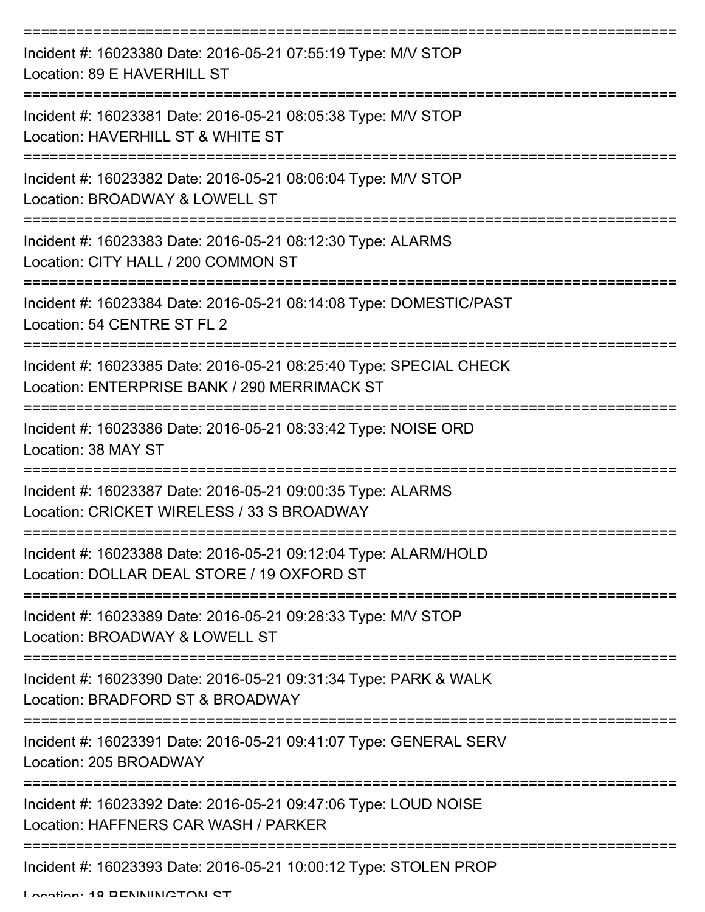| Incident #: 16023380 Date: 2016-05-21 07:55:19 Type: M/V STOP<br>Location: 89 E HAVERHILL ST                       |
|--------------------------------------------------------------------------------------------------------------------|
| Incident #: 16023381 Date: 2016-05-21 08:05:38 Type: M/V STOP<br>Location: HAVERHILL ST & WHITE ST                 |
| Incident #: 16023382 Date: 2016-05-21 08:06:04 Type: M/V STOP<br>Location: BROADWAY & LOWELL ST                    |
| Incident #: 16023383 Date: 2016-05-21 08:12:30 Type: ALARMS<br>Location: CITY HALL / 200 COMMON ST                 |
| Incident #: 16023384 Date: 2016-05-21 08:14:08 Type: DOMESTIC/PAST<br>Location: 54 CENTRE ST FL 2                  |
| Incident #: 16023385 Date: 2016-05-21 08:25:40 Type: SPECIAL CHECK<br>Location: ENTERPRISE BANK / 290 MERRIMACK ST |
| Incident #: 16023386 Date: 2016-05-21 08:33:42 Type: NOISE ORD<br>Location: 38 MAY ST                              |
| Incident #: 16023387 Date: 2016-05-21 09:00:35 Type: ALARMS<br>Location: CRICKET WIRELESS / 33 S BROADWAY          |
| Incident #: 16023388 Date: 2016-05-21 09:12:04 Type: ALARM/HOLD<br>Location: DOLLAR DEAL STORE / 19 OXFORD ST      |
| Incident #: 16023389 Date: 2016-05-21 09:28:33 Type: M/V STOP<br>Location: BROADWAY & LOWELL ST                    |
| Incident #: 16023390 Date: 2016-05-21 09:31:34 Type: PARK & WALK<br>Location: BRADFORD ST & BROADWAY               |
| Incident #: 16023391 Date: 2016-05-21 09:41:07 Type: GENERAL SERV<br>Location: 205 BROADWAY                        |
| Incident #: 16023392 Date: 2016-05-21 09:47:06 Type: LOUD NOISE<br>Location: HAFFNERS CAR WASH / PARKER            |
| Incident #: 16023393 Date: 2016-05-21 10:00:12 Type: STOLEN PROP                                                   |

Location: 18 BENNINGTON ST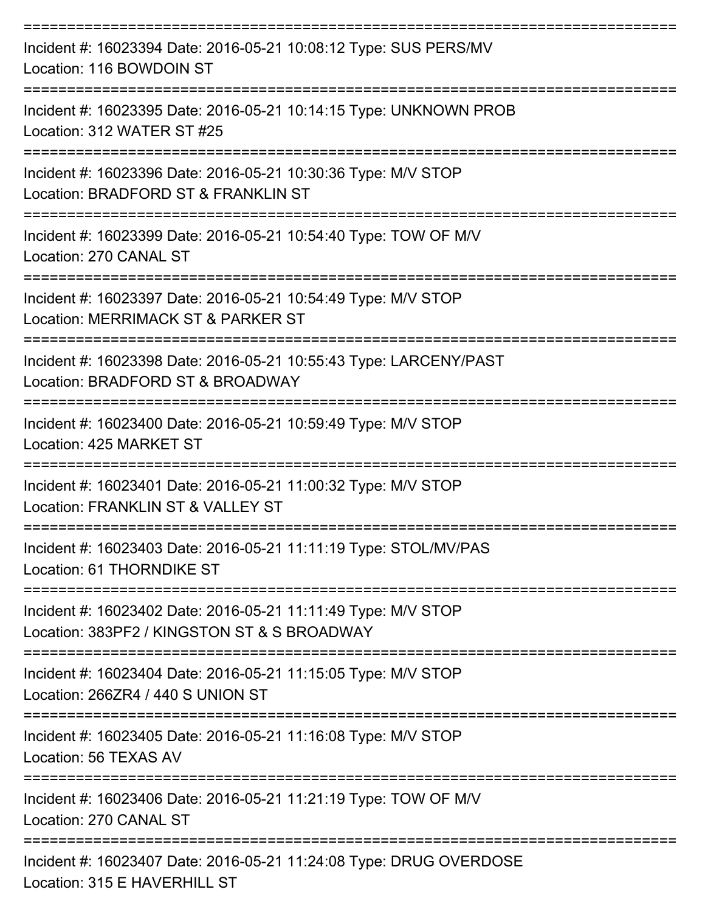| Incident #: 16023394 Date: 2016-05-21 10:08:12 Type: SUS PERS/MV<br>Location: 116 BOWDOIN ST                 |
|--------------------------------------------------------------------------------------------------------------|
| Incident #: 16023395 Date: 2016-05-21 10:14:15 Type: UNKNOWN PROB<br>Location: 312 WATER ST #25              |
| Incident #: 16023396 Date: 2016-05-21 10:30:36 Type: M/V STOP<br>Location: BRADFORD ST & FRANKLIN ST         |
| Incident #: 16023399 Date: 2016-05-21 10:54:40 Type: TOW OF M/V<br>Location: 270 CANAL ST                    |
| Incident #: 16023397 Date: 2016-05-21 10:54:49 Type: M/V STOP<br>Location: MERRIMACK ST & PARKER ST          |
| Incident #: 16023398 Date: 2016-05-21 10:55:43 Type: LARCENY/PAST<br>Location: BRADFORD ST & BROADWAY        |
| Incident #: 16023400 Date: 2016-05-21 10:59:49 Type: M/V STOP<br>Location: 425 MARKET ST                     |
| Incident #: 16023401 Date: 2016-05-21 11:00:32 Type: M/V STOP<br>Location: FRANKLIN ST & VALLEY ST           |
| Incident #: 16023403 Date: 2016-05-21 11:11:19 Type: STOL/MV/PAS<br>Location: 61 THORNDIKE ST                |
| Incident #: 16023402 Date: 2016-05-21 11:11:49 Type: M/V STOP<br>Location: 383PF2 / KINGSTON ST & S BROADWAY |
| Incident #: 16023404 Date: 2016-05-21 11:15:05 Type: M/V STOP<br>Location: 266ZR4 / 440 S UNION ST           |
| Incident #: 16023405 Date: 2016-05-21 11:16:08 Type: M/V STOP<br>Location: 56 TEXAS AV                       |
| Incident #: 16023406 Date: 2016-05-21 11:21:19 Type: TOW OF M/V<br>Location: 270 CANAL ST                    |
| Incident #: 16023407 Date: 2016-05-21 11:24:08 Type: DRUG OVERDOSE<br>Location: 315 E HAVERHILL ST           |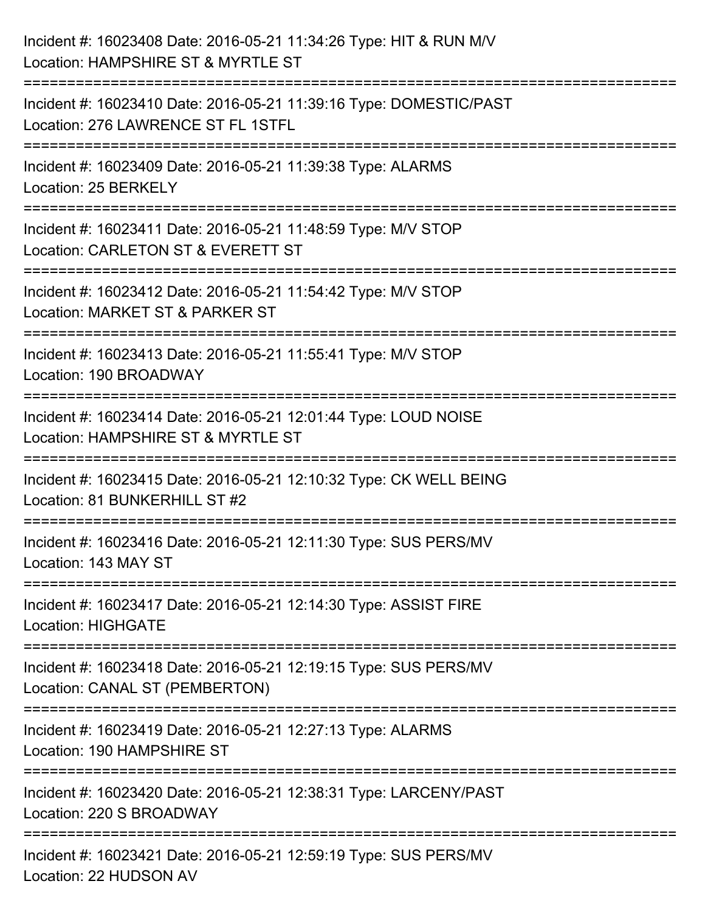| Incident #: 16023408 Date: 2016-05-21 11:34:26 Type: HIT & RUN M/V<br>Location: HAMPSHIRE ST & MYRTLE ST                                 |
|------------------------------------------------------------------------------------------------------------------------------------------|
| ----------------------------<br>Incident #: 16023410 Date: 2016-05-21 11:39:16 Type: DOMESTIC/PAST<br>Location: 276 LAWRENCE ST FL 1STFL |
| Incident #: 16023409 Date: 2016-05-21 11:39:38 Type: ALARMS<br>Location: 25 BERKELY                                                      |
| Incident #: 16023411 Date: 2016-05-21 11:48:59 Type: M/V STOP<br>Location: CARLETON ST & EVERETT ST                                      |
| Incident #: 16023412 Date: 2016-05-21 11:54:42 Type: M/V STOP<br>Location: MARKET ST & PARKER ST<br>================================     |
| Incident #: 16023413 Date: 2016-05-21 11:55:41 Type: M/V STOP<br>Location: 190 BROADWAY                                                  |
| Incident #: 16023414 Date: 2016-05-21 12:01:44 Type: LOUD NOISE<br>Location: HAMPSHIRE ST & MYRTLE ST                                    |
| ===================<br>Incident #: 16023415 Date: 2016-05-21 12:10:32 Type: CK WELL BEING<br>Location: 81 BUNKERHILL ST #2               |
| Incident #: 16023416 Date: 2016-05-21 12:11:30 Type: SUS PERS/MV<br>Location: 143 MAY ST                                                 |
| Incident #: 16023417 Date: 2016-05-21 12:14:30 Type: ASSIST FIRE<br><b>Location: HIGHGATE</b>                                            |
| Incident #: 16023418 Date: 2016-05-21 12:19:15 Type: SUS PERS/MV<br>Location: CANAL ST (PEMBERTON)                                       |
| Incident #: 16023419 Date: 2016-05-21 12:27:13 Type: ALARMS<br>Location: 190 HAMPSHIRE ST                                                |
| Incident #: 16023420 Date: 2016-05-21 12:38:31 Type: LARCENY/PAST<br>Location: 220 S BROADWAY                                            |
| Incident #: 16023421 Date: 2016-05-21 12:59:19 Type: SUS PERS/MV<br>Location: 22 HUDSON AV                                               |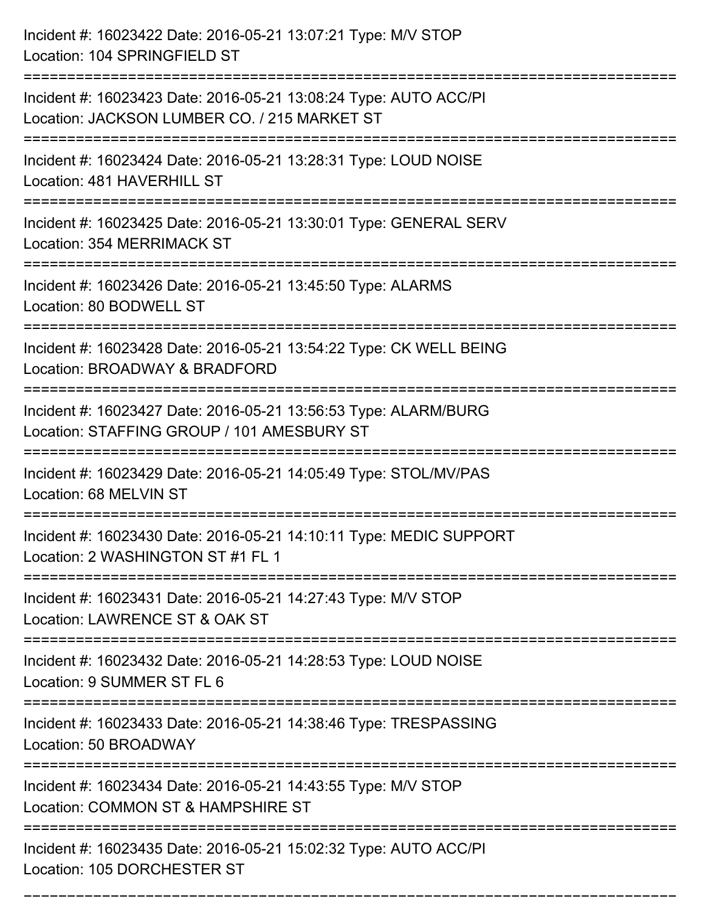| Incident #: 16023422 Date: 2016-05-21 13:07:21 Type: M/V STOP<br>Location: 104 SPRINGFIELD ST                                           |
|-----------------------------------------------------------------------------------------------------------------------------------------|
| Incident #: 16023423 Date: 2016-05-21 13:08:24 Type: AUTO ACC/PI<br>Location: JACKSON LUMBER CO. / 215 MARKET ST                        |
| Incident #: 16023424 Date: 2016-05-21 13:28:31 Type: LOUD NOISE<br>Location: 481 HAVERHILL ST                                           |
| Incident #: 16023425 Date: 2016-05-21 13:30:01 Type: GENERAL SERV<br>Location: 354 MERRIMACK ST                                         |
| Incident #: 16023426 Date: 2016-05-21 13:45:50 Type: ALARMS<br>Location: 80 BODWELL ST                                                  |
| Incident #: 16023428 Date: 2016-05-21 13:54:22 Type: CK WELL BEING<br>Location: BROADWAY & BRADFORD                                     |
| Incident #: 16023427 Date: 2016-05-21 13:56:53 Type: ALARM/BURG<br>Location: STAFFING GROUP / 101 AMESBURY ST<br>====================== |
| Incident #: 16023429 Date: 2016-05-21 14:05:49 Type: STOL/MV/PAS<br>Location: 68 MELVIN ST                                              |
| Incident #: 16023430 Date: 2016-05-21 14:10:11 Type: MEDIC SUPPORT<br>Location: 2 WASHINGTON ST #1 FL 1                                 |
| Incident #: 16023431 Date: 2016-05-21 14:27:43 Type: M/V STOP<br>Location: LAWRENCE ST & OAK ST<br>------------------------------       |
| Incident #: 16023432 Date: 2016-05-21 14:28:53 Type: LOUD NOISE<br>Location: 9 SUMMER ST FL 6                                           |
| Incident #: 16023433 Date: 2016-05-21 14:38:46 Type: TRESPASSING<br>Location: 50 BROADWAY                                               |
| Incident #: 16023434 Date: 2016-05-21 14:43:55 Type: M/V STOP<br>Location: COMMON ST & HAMPSHIRE ST                                     |
| Incident #: 16023435 Date: 2016-05-21 15:02:32 Type: AUTO ACC/PI<br>Location: 105 DORCHESTER ST                                         |

===========================================================================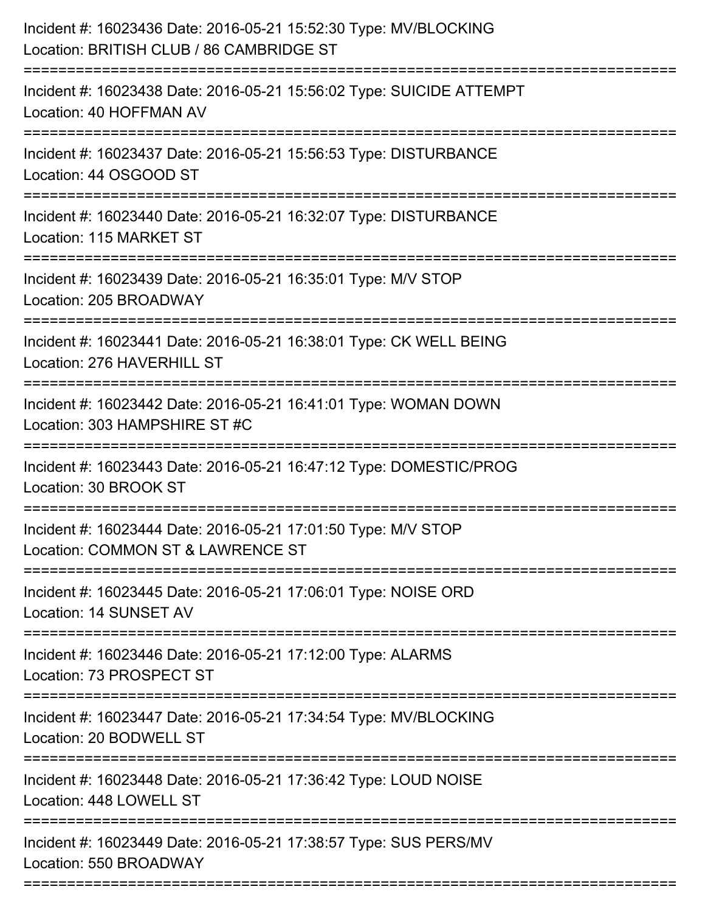| Incident #: 16023438 Date: 2016-05-21 15:56:02 Type: SUICIDE ATTEMPT<br>Location: 40 HOFFMAN AV<br>Incident #: 16023437 Date: 2016-05-21 15:56:53 Type: DISTURBANCE<br>Location: 44 OSGOOD ST<br>---------------------<br>Incident #: 16023440 Date: 2016-05-21 16:32:07 Type: DISTURBANCE<br>Location: 115 MARKET ST<br>Incident #: 16023439 Date: 2016-05-21 16:35:01 Type: M/V STOP<br>Location: 205 BROADWAY<br>Incident #: 16023441 Date: 2016-05-21 16:38:01 Type: CK WELL BEING<br>Location: 276 HAVERHILL ST<br>Incident #: 16023442 Date: 2016-05-21 16:41:01 Type: WOMAN DOWN<br>Location: 303 HAMPSHIRE ST #C<br>Incident #: 16023443 Date: 2016-05-21 16:47:12 Type: DOMESTIC/PROG<br>Location: 30 BROOK ST<br>Incident #: 16023444 Date: 2016-05-21 17:01:50 Type: M/V STOP<br>Location: COMMON ST & LAWRENCE ST |
|-------------------------------------------------------------------------------------------------------------------------------------------------------------------------------------------------------------------------------------------------------------------------------------------------------------------------------------------------------------------------------------------------------------------------------------------------------------------------------------------------------------------------------------------------------------------------------------------------------------------------------------------------------------------------------------------------------------------------------------------------------------------------------------------------------------------------------|
|                                                                                                                                                                                                                                                                                                                                                                                                                                                                                                                                                                                                                                                                                                                                                                                                                               |
|                                                                                                                                                                                                                                                                                                                                                                                                                                                                                                                                                                                                                                                                                                                                                                                                                               |
|                                                                                                                                                                                                                                                                                                                                                                                                                                                                                                                                                                                                                                                                                                                                                                                                                               |
|                                                                                                                                                                                                                                                                                                                                                                                                                                                                                                                                                                                                                                                                                                                                                                                                                               |
|                                                                                                                                                                                                                                                                                                                                                                                                                                                                                                                                                                                                                                                                                                                                                                                                                               |
|                                                                                                                                                                                                                                                                                                                                                                                                                                                                                                                                                                                                                                                                                                                                                                                                                               |
|                                                                                                                                                                                                                                                                                                                                                                                                                                                                                                                                                                                                                                                                                                                                                                                                                               |
|                                                                                                                                                                                                                                                                                                                                                                                                                                                                                                                                                                                                                                                                                                                                                                                                                               |
| Incident #: 16023445 Date: 2016-05-21 17:06:01 Type: NOISE ORD<br>Location: 14 SUNSET AV                                                                                                                                                                                                                                                                                                                                                                                                                                                                                                                                                                                                                                                                                                                                      |
| Incident #: 16023446 Date: 2016-05-21 17:12:00 Type: ALARMS<br>Location: 73 PROSPECT ST                                                                                                                                                                                                                                                                                                                                                                                                                                                                                                                                                                                                                                                                                                                                       |
| Incident #: 16023447 Date: 2016-05-21 17:34:54 Type: MV/BLOCKING<br>Location: 20 BODWELL ST                                                                                                                                                                                                                                                                                                                                                                                                                                                                                                                                                                                                                                                                                                                                   |
| =======================<br>Incident #: 16023448 Date: 2016-05-21 17:36:42 Type: LOUD NOISE<br>Location: 448 LOWELL ST                                                                                                                                                                                                                                                                                                                                                                                                                                                                                                                                                                                                                                                                                                         |
| Incident #: 16023449 Date: 2016-05-21 17:38:57 Type: SUS PERS/MV<br>Location: 550 BROADWAY                                                                                                                                                                                                                                                                                                                                                                                                                                                                                                                                                                                                                                                                                                                                    |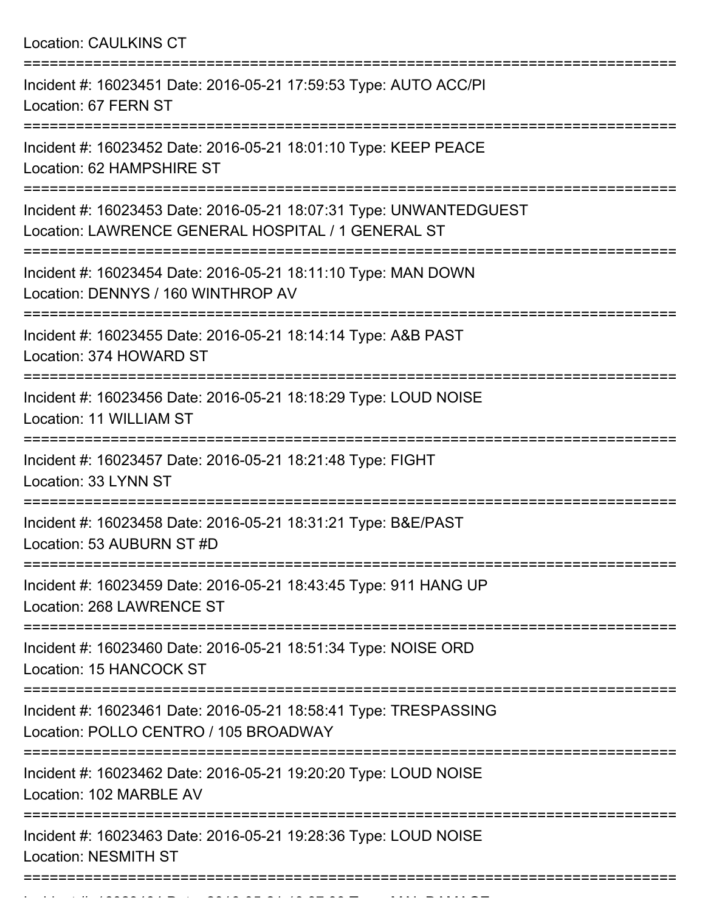| <b>Location: CAULKINS CT</b>                                                                                                                                                          |
|---------------------------------------------------------------------------------------------------------------------------------------------------------------------------------------|
| Incident #: 16023451 Date: 2016-05-21 17:59:53 Type: AUTO ACC/PI<br>Location: 67 FERN ST<br>===================================                                                       |
| Incident #: 16023452 Date: 2016-05-21 18:01:10 Type: KEEP PEACE<br>Location: 62 HAMPSHIRE ST                                                                                          |
| Incident #: 16023453 Date: 2016-05-21 18:07:31 Type: UNWANTEDGUEST<br>Location: LAWRENCE GENERAL HOSPITAL / 1 GENERAL ST<br>-----------------------<br>============================== |
| Incident #: 16023454 Date: 2016-05-21 18:11:10 Type: MAN DOWN<br>Location: DENNYS / 160 WINTHROP AV                                                                                   |
| Incident #: 16023455 Date: 2016-05-21 18:14:14 Type: A&B PAST<br>Location: 374 HOWARD ST                                                                                              |
| Incident #: 16023456 Date: 2016-05-21 18:18:29 Type: LOUD NOISE<br>Location: 11 WILLIAM ST                                                                                            |
| Incident #: 16023457 Date: 2016-05-21 18:21:48 Type: FIGHT<br>Location: 33 LYNN ST                                                                                                    |
| Incident #: 16023458 Date: 2016-05-21 18:31:21 Type: B&E/PAST<br>Location: 53 AUBURN ST #D                                                                                            |
| Incident #: 16023459 Date: 2016-05-21 18:43:45 Type: 911 HANG UP<br>Location: 268 LAWRENCE ST                                                                                         |
| Incident #: 16023460 Date: 2016-05-21 18:51:34 Type: NOISE ORD<br>Location: 15 HANCOCK ST                                                                                             |
| Incident #: 16023461 Date: 2016-05-21 18:58:41 Type: TRESPASSING<br>Location: POLLO CENTRO / 105 BROADWAY                                                                             |
| Incident #: 16023462 Date: 2016-05-21 19:20:20 Type: LOUD NOISE<br>Location: 102 MARBLE AV                                                                                            |
| Incident #: 16023463 Date: 2016-05-21 19:28:36 Type: LOUD NOISE<br><b>Location: NESMITH ST</b>                                                                                        |

Incident #: 160234 Date: 2016 05 21 19:37:33 Type: MAL DAMAGE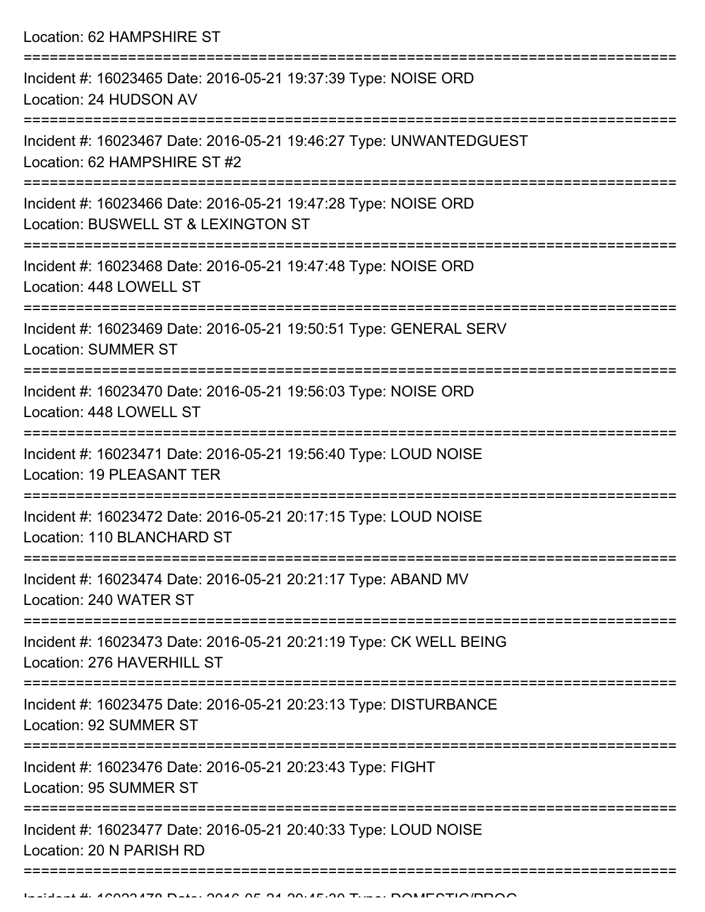Location: 62 HAMPSHIRE ST

| Incident #: 16023465 Date: 2016-05-21 19:37:39 Type: NOISE ORD<br>Location: 24 HUDSON AV              |
|-------------------------------------------------------------------------------------------------------|
| Incident #: 16023467 Date: 2016-05-21 19:46:27 Type: UNWANTEDGUEST<br>Location: 62 HAMPSHIRE ST #2    |
| Incident #: 16023466 Date: 2016-05-21 19:47:28 Type: NOISE ORD<br>Location: BUSWELL ST & LEXINGTON ST |
| Incident #: 16023468 Date: 2016-05-21 19:47:48 Type: NOISE ORD<br>Location: 448 LOWELL ST             |
| Incident #: 16023469 Date: 2016-05-21 19:50:51 Type: GENERAL SERV<br><b>Location: SUMMER ST</b>       |
| Incident #: 16023470 Date: 2016-05-21 19:56:03 Type: NOISE ORD<br>Location: 448 LOWELL ST             |
| Incident #: 16023471 Date: 2016-05-21 19:56:40 Type: LOUD NOISE<br><b>Location: 19 PLEASANT TER</b>   |
| Incident #: 16023472 Date: 2016-05-21 20:17:15 Type: LOUD NOISE<br>Location: 110 BLANCHARD ST         |
| Incident #: 16023474 Date: 2016-05-21 20:21:17 Type: ABAND MV<br>Location: 240 WATER ST               |
| Incident #: 16023473 Date: 2016-05-21 20:21:19 Type: CK WELL BEING<br>Location: 276 HAVERHILL ST      |
| Incident #: 16023475 Date: 2016-05-21 20:23:13 Type: DISTURBANCE<br>Location: 92 SUMMER ST            |
| Incident #: 16023476 Date: 2016-05-21 20:23:43 Type: FIGHT<br>Location: 95 SUMMER ST                  |
| Incident #: 16023477 Date: 2016-05-21 20:40:33 Type: LOUD NOISE<br>Location: 20 N PARISH RD           |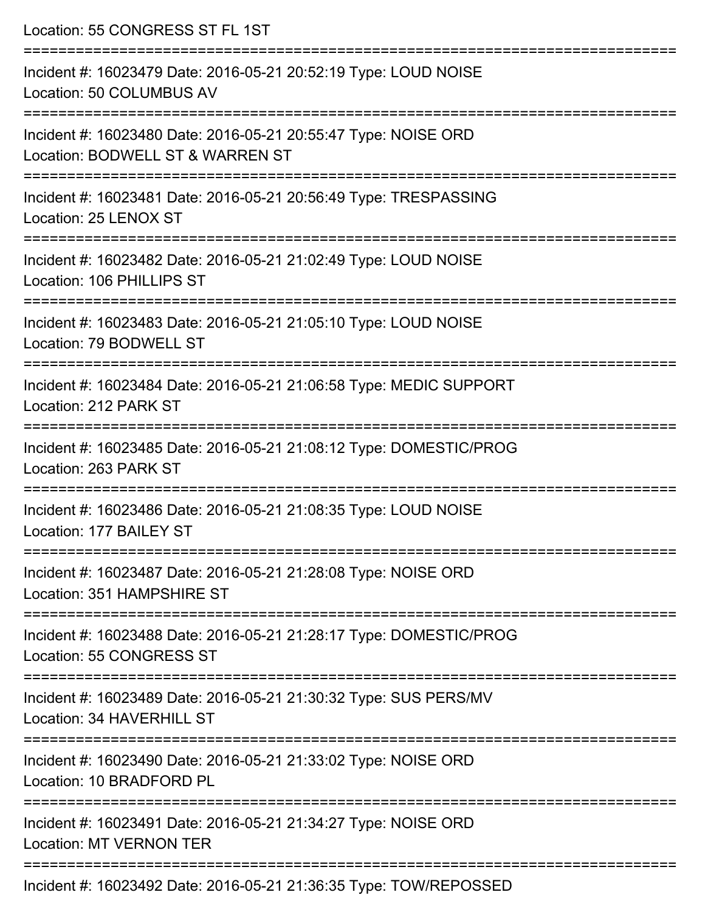| Location: 55 CONGRESS ST FL 1ST                                                                                                    |
|------------------------------------------------------------------------------------------------------------------------------------|
| Incident #: 16023479 Date: 2016-05-21 20:52:19 Type: LOUD NOISE<br>Location: 50 COLUMBUS AV                                        |
| Incident #: 16023480 Date: 2016-05-21 20:55:47 Type: NOISE ORD<br>Location: BODWELL ST & WARREN ST                                 |
| Incident #: 16023481 Date: 2016-05-21 20:56:49 Type: TRESPASSING<br>Location: 25 LENOX ST                                          |
| Incident #: 16023482 Date: 2016-05-21 21:02:49 Type: LOUD NOISE<br>Location: 106 PHILLIPS ST                                       |
| Incident #: 16023483 Date: 2016-05-21 21:05:10 Type: LOUD NOISE<br>Location: 79 BODWELL ST                                         |
| Incident #: 16023484 Date: 2016-05-21 21:06:58 Type: MEDIC SUPPORT<br>Location: 212 PARK ST                                        |
| Incident #: 16023485 Date: 2016-05-21 21:08:12 Type: DOMESTIC/PROG<br>Location: 263 PARK ST                                        |
| Incident #: 16023486 Date: 2016-05-21 21:08:35 Type: LOUD NOISE<br>Location: 177 BAILEY ST                                         |
| :=================================<br>Incident #: 16023487 Date: 2016-05-21 21:28:08 Type: NOISE ORD<br>Location: 351 HAMPSHIRE ST |
| Incident #: 16023488 Date: 2016-05-21 21:28:17 Type: DOMESTIC/PROG<br>Location: 55 CONGRESS ST                                     |
| Incident #: 16023489 Date: 2016-05-21 21:30:32 Type: SUS PERS/MV<br>Location: 34 HAVERHILL ST                                      |
| Incident #: 16023490 Date: 2016-05-21 21:33:02 Type: NOISE ORD<br>Location: 10 BRADFORD PL                                         |
| Incident #: 16023491 Date: 2016-05-21 21:34:27 Type: NOISE ORD<br><b>Location: MT VERNON TER</b>                                   |
| Incident #: 16023402 Date: 2016-05-21 21:36:35 Type: TOW/DEDOSSED                                                                  |

Incident #: 16023492 Date: 2016-05-21 21:36:35 Type: TOW/REPOSSED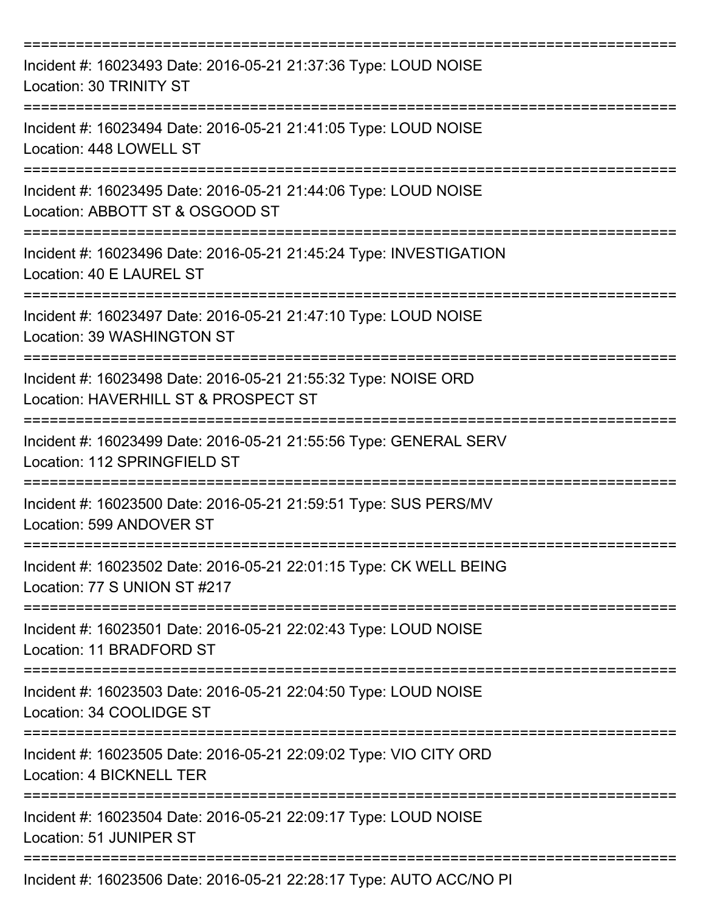| Incident #: 16023493 Date: 2016-05-21 21:37:36 Type: LOUD NOISE<br>Location: 30 TRINITY ST<br>=================== |
|-------------------------------------------------------------------------------------------------------------------|
| Incident #: 16023494 Date: 2016-05-21 21:41:05 Type: LOUD NOISE<br>Location: 448 LOWELL ST<br>===============     |
| Incident #: 16023495 Date: 2016-05-21 21:44:06 Type: LOUD NOISE<br>Location: ABBOTT ST & OSGOOD ST                |
| Incident #: 16023496 Date: 2016-05-21 21:45:24 Type: INVESTIGATION<br>Location: 40 E LAUREL ST                    |
| Incident #: 16023497 Date: 2016-05-21 21:47:10 Type: LOUD NOISE<br>Location: 39 WASHINGTON ST                     |
| Incident #: 16023498 Date: 2016-05-21 21:55:32 Type: NOISE ORD<br>Location: HAVERHILL ST & PROSPECT ST            |
| Incident #: 16023499 Date: 2016-05-21 21:55:56 Type: GENERAL SERV<br>Location: 112 SPRINGFIELD ST                 |
| Incident #: 16023500 Date: 2016-05-21 21:59:51 Type: SUS PERS/MV<br>Location: 599 ANDOVER ST                      |
| Incident #: 16023502 Date: 2016-05-21 22:01:15 Type: CK WELL BEING<br>Location: 77 S UNION ST #217                |
| Incident #: 16023501 Date: 2016-05-21 22:02:43 Type: LOUD NOISE<br>Location: 11 BRADFORD ST                       |
| Incident #: 16023503 Date: 2016-05-21 22:04:50 Type: LOUD NOISE<br>Location: 34 COOLIDGE ST                       |
| Incident #: 16023505 Date: 2016-05-21 22:09:02 Type: VIO CITY ORD<br>Location: 4 BICKNELL TER                     |
| Incident #: 16023504 Date: 2016-05-21 22:09:17 Type: LOUD NOISE<br>Location: 51 JUNIPER ST                        |
| Incident #: 16023506 Date: 2016-05-21 22:28:17 Type: AUTO ACC/NO PI                                               |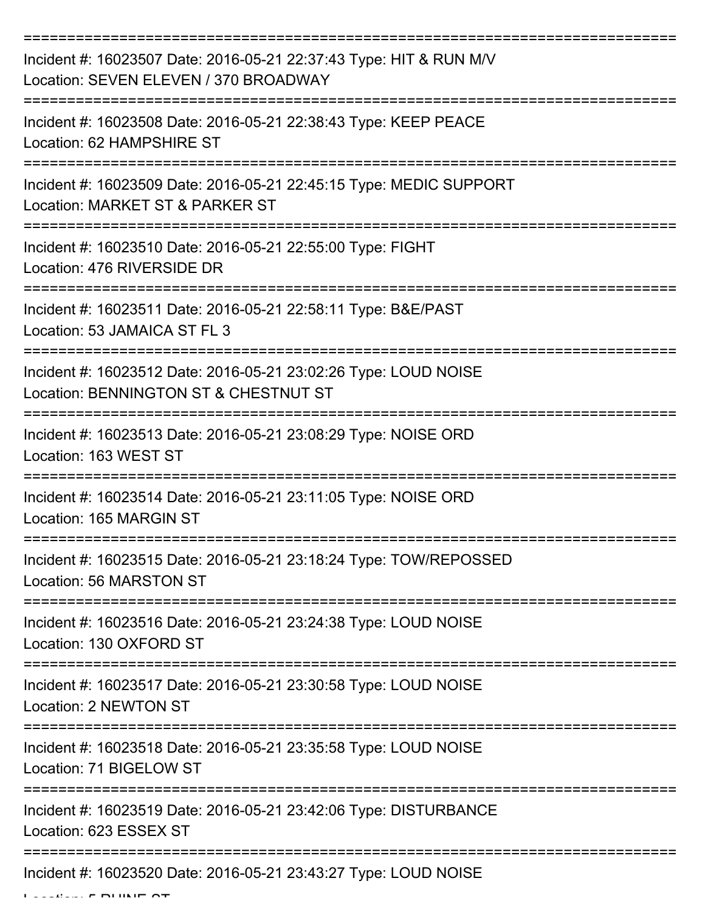| Incident #: 16023507 Date: 2016-05-21 22:37:43 Type: HIT & RUN M/V<br>Location: SEVEN ELEVEN / 370 BROADWAY      |
|------------------------------------------------------------------------------------------------------------------|
| Incident #: 16023508 Date: 2016-05-21 22:38:43 Type: KEEP PEACE<br>Location: 62 HAMPSHIRE ST                     |
| Incident #: 16023509 Date: 2016-05-21 22:45:15 Type: MEDIC SUPPORT<br>Location: MARKET ST & PARKER ST            |
| Incident #: 16023510 Date: 2016-05-21 22:55:00 Type: FIGHT<br>Location: 476 RIVERSIDE DR                         |
| Incident #: 16023511 Date: 2016-05-21 22:58:11 Type: B&E/PAST<br>Location: 53 JAMAICA ST FL 3                    |
| Incident #: 16023512 Date: 2016-05-21 23:02:26 Type: LOUD NOISE<br>Location: BENNINGTON ST & CHESTNUT ST         |
| Incident #: 16023513 Date: 2016-05-21 23:08:29 Type: NOISE ORD<br>Location: 163 WEST ST                          |
| Incident #: 16023514 Date: 2016-05-21 23:11:05 Type: NOISE ORD<br>Location: 165 MARGIN ST                        |
| Incident #: 16023515 Date: 2016-05-21 23:18:24 Type: TOW/REPOSSED<br>Location: 56 MARSTON ST                     |
| ==================<br>Incident #: 16023516 Date: 2016-05-21 23:24:38 Type: LOUD NOISE<br>Location: 130 OXFORD ST |
| Incident #: 16023517 Date: 2016-05-21 23:30:58 Type: LOUD NOISE<br>Location: 2 NEWTON ST                         |
| Incident #: 16023518 Date: 2016-05-21 23:35:58 Type: LOUD NOISE<br>Location: 71 BIGELOW ST                       |
| Incident #: 16023519 Date: 2016-05-21 23:42:06 Type: DISTURBANCE<br>Location: 623 ESSEX ST                       |
| Incident #: 16023520 Date: 2016-05-21 23:43:27 Type: LOUD NOISE                                                  |